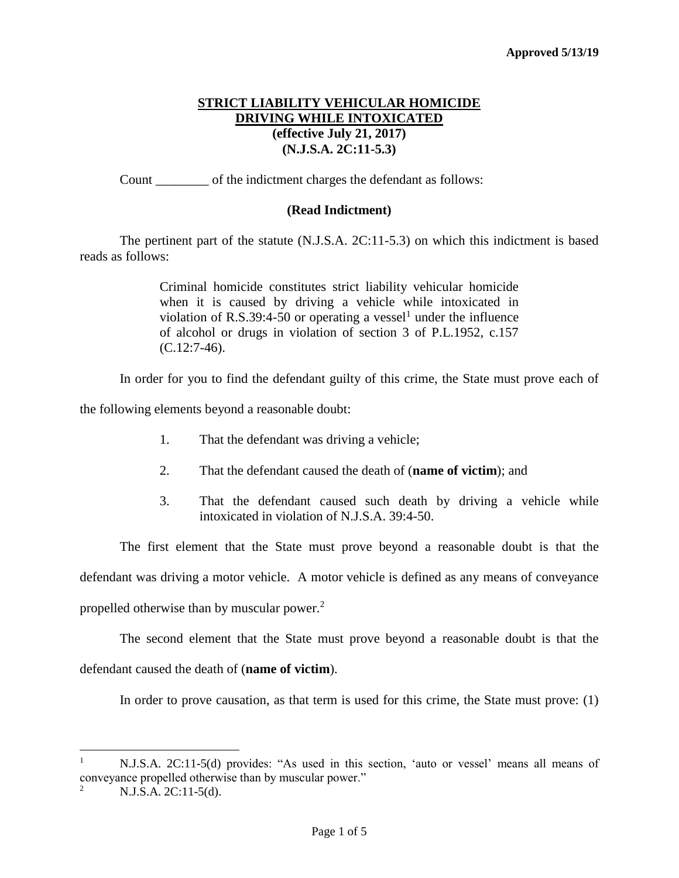# **STRICT LIABILITY VEHICULAR HOMICIDE DRIVING WHILE INTOXICATED (effective July 21, 2017) (N.J.S.A. 2C:11-5.3)**

Count \_\_\_\_\_\_\_\_ of the indictment charges the defendant as follows:

## **(Read Indictment)**

The pertinent part of the statute (N.J.S.A. 2C:11-5.3) on which this indictment is based reads as follows:

> Criminal homicide constitutes strict liability vehicular homicide when it is caused by driving a vehicle while intoxicated in violation of R.S.39:4-50 or operating a vessel<sup>1</sup> under the influence of alcohol or drugs in violation of section 3 of P.L.1952, c.157 (C.12:7-46).

In order for you to find the defendant guilty of this crime, the State must prove each of

the following elements beyond a reasonable doubt:

- 1. That the defendant was driving a vehicle;
- 2. That the defendant caused the death of (**name of victim**); and
- 3. That the defendant caused such death by driving a vehicle while intoxicated in violation of N.J.S.A. 39:4-50.

The first element that the State must prove beyond a reasonable doubt is that the defendant was driving a motor vehicle. A motor vehicle is defined as any means of conveyance propelled otherwise than by muscular power.<sup>2</sup>

The second element that the State must prove beyond a reasonable doubt is that the defendant caused the death of (**name of victim**).

In order to prove causation, as that term is used for this crime, the State must prove: (1)

<sup>1</sup> N.J.S.A. 2C:11-5(d) provides: "As used in this section, 'auto or vessel' means all means of conveyance propelled otherwise than by muscular power."

<sup>2</sup> N.J.S.A. 2C:11-5(d).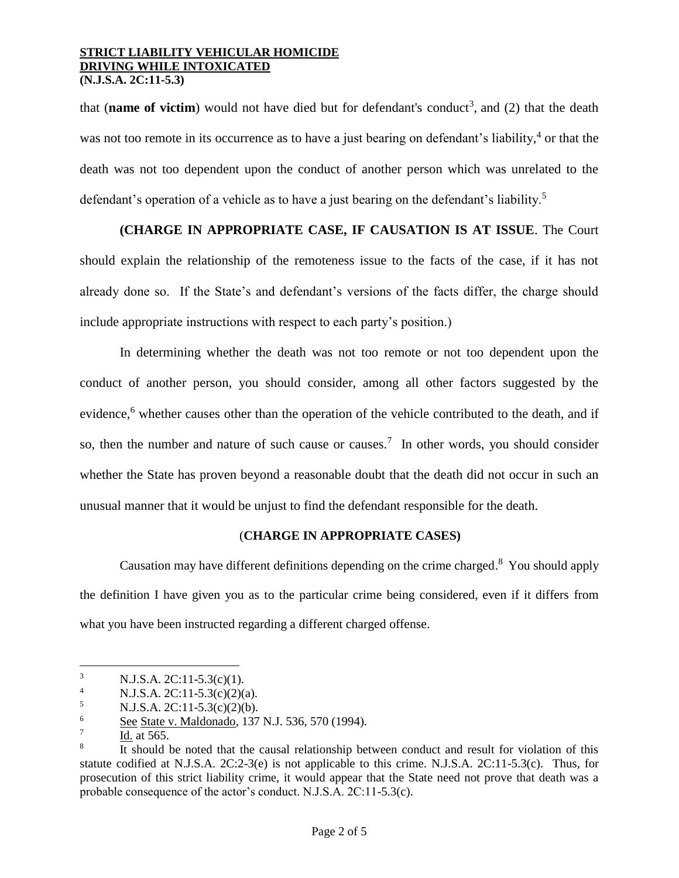that (**name of victim**) would not have died but for defendant's conduct<sup>3</sup>, and (2) that the death was not too remote in its occurrence as to have a just bearing on defendant's liability,<sup>4</sup> or that the death was not too dependent upon the conduct of another person which was unrelated to the defendant's operation of a vehicle as to have a just bearing on the defendant's liability.<sup>5</sup>

**(CHARGE IN APPROPRIATE CASE, IF CAUSATION IS AT ISSUE**. The Court should explain the relationship of the remoteness issue to the facts of the case, if it has not already done so. If the State's and defendant's versions of the facts differ, the charge should include appropriate instructions with respect to each party's position.)

In determining whether the death was not too remote or not too dependent upon the conduct of another person, you should consider, among all other factors suggested by the evidence,<sup>6</sup> whether causes other than the operation of the vehicle contributed to the death, and if so, then the number and nature of such cause or causes.<sup>7</sup> In other words, you should consider whether the State has proven beyond a reasonable doubt that the death did not occur in such an unusual manner that it would be unjust to find the defendant responsible for the death.

### (**CHARGE IN APPROPRIATE CASES)**

Causation may have different definitions depending on the crime charged.<sup>8</sup> You should apply the definition I have given you as to the particular crime being considered, even if it differs from what you have been instructed regarding a different charged offense.

 $\frac{5}{6}$  N.J.S.A. 2C:11-5.3(c)(2)(b).<br>See State y Maldonado 137

<sup>&</sup>lt;sup>3</sup> N.J.S.A. 2C:11-5.3(c)(1).<br><sup>4</sup> N.J.S.A. 2C:11-5.3(c)(2)(

N.J.S.A.  $2C:11-5.3(c)(2)(a)$ .

See State v. Maldonado, 137 N.J. 536, 570 (1994).

<sup>7</sup> Id. at 565.

<sup>8</sup> It should be noted that the causal relationship between conduct and result for violation of this statute codified at N.J.S.A. 2C:2-3(e) is not applicable to this crime. N.J.S.A. 2C:11-5.3(c). Thus, for prosecution of this strict liability crime, it would appear that the State need not prove that death was a probable consequence of the actor's conduct. N.J.S.A. 2C:11-5.3(c).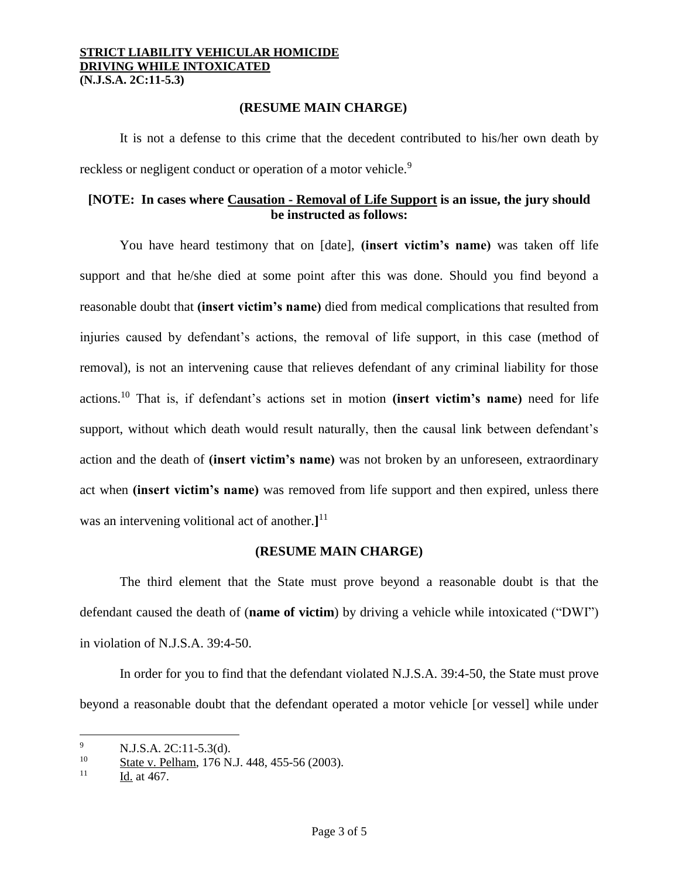**(RESUME MAIN CHARGE)**

It is not a defense to this crime that the decedent contributed to his/her own death by reckless or negligent conduct or operation of a motor vehicle.<sup>9</sup>

# **[NOTE: In cases where Causation - Removal of Life Support is an issue, the jury should be instructed as follows:**

You have heard testimony that on [date], **(insert victim's name)** was taken off life support and that he/she died at some point after this was done. Should you find beyond a reasonable doubt that **(insert victim's name)** died from medical complications that resulted from injuries caused by defendant's actions, the removal of life support, in this case (method of removal), is not an intervening cause that relieves defendant of any criminal liability for those actions.<sup>10</sup> That is, if defendant's actions set in motion **(insert victim's name)** need for life support, without which death would result naturally, then the causal link between defendant's action and the death of **(insert victim's name)** was not broken by an unforeseen, extraordinary act when **(insert victim's name)** was removed from life support and then expired, unless there was an intervening volitional act of another.**]** 11

## **(RESUME MAIN CHARGE)**

The third element that the State must prove beyond a reasonable doubt is that the defendant caused the death of (**name of victim**) by driving a vehicle while intoxicated ("DWI") in violation of N.J.S.A. 39:4-50.

In order for you to find that the defendant violated N.J.S.A. 39:4-50, the State must prove beyond a reasonable doubt that the defendant operated a motor vehicle [or vessel] while under

<sup>&</sup>lt;sup>9</sup> N.J.S.A. 2C:11-5.3(d).<br><sup>10</sup> State v. Polham 176 N.

 $\frac{10}{11}$  State v. Pelham, 176 N.J. 448, 455-56 (2003).

Id. at 467.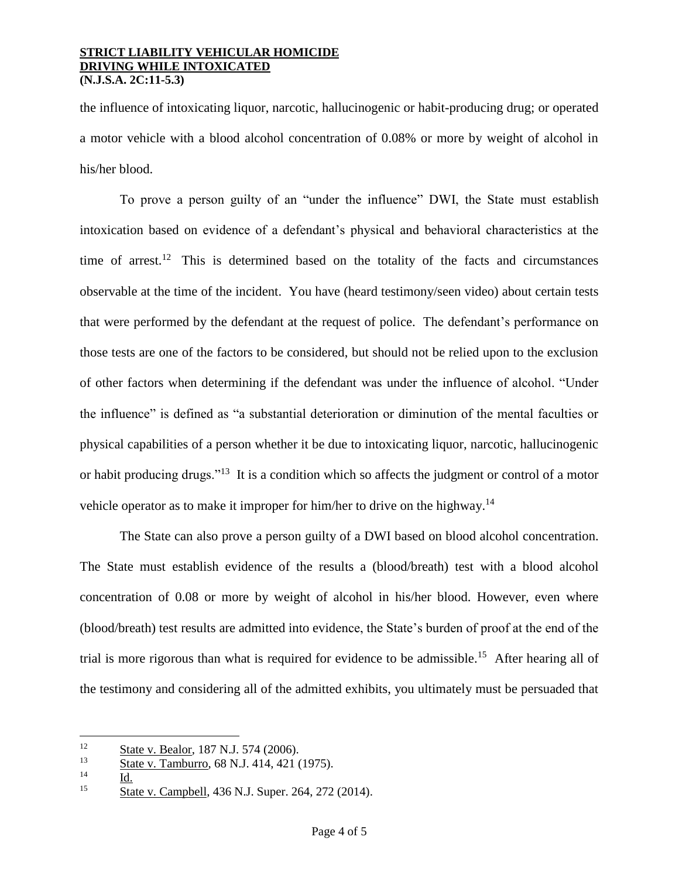the influence of intoxicating liquor, narcotic, hallucinogenic or habit-producing drug; or operated a motor vehicle with a blood alcohol concentration of 0.08% or more by weight of alcohol in his/her blood.

To prove a person guilty of an "under the influence" DWI, the State must establish intoxication based on evidence of a defendant's physical and behavioral characteristics at the time of arrest.<sup>12</sup> This is determined based on the totality of the facts and circumstances observable at the time of the incident. You have (heard testimony/seen video) about certain tests that were performed by the defendant at the request of police. The defendant's performance on those tests are one of the factors to be considered, but should not be relied upon to the exclusion of other factors when determining if the defendant was under the influence of alcohol. "Under the influence" is defined as "a substantial deterioration or diminution of the mental faculties or physical capabilities of a person whether it be due to intoxicating liquor, narcotic, hallucinogenic or habit producing drugs."<sup>13</sup> It is a condition which so affects the judgment or control of a motor vehicle operator as to make it improper for him/her to drive on the highway.<sup>14</sup>

The State can also prove a person guilty of a DWI based on blood alcohol concentration. The State must establish evidence of the results a (blood/breath) test with a blood alcohol concentration of 0.08 or more by weight of alcohol in his/her blood. However, even where (blood/breath) test results are admitted into evidence, the State's burden of proof at the end of the trial is more rigorous than what is required for evidence to be admissible. <sup>15</sup> After hearing all of the testimony and considering all of the admitted exhibits, you ultimately must be persuaded that

 $\frac{12}{13}$  State v. Bealor, 187 N.J. 574 (2006).

State v. Tamburro, 68 N.J. 414, 421 (1975).

<sup>14</sup> Id.

<sup>&</sup>lt;sup>15</sup> State v. Campbell, 436 N.J. Super. 264, 272 (2014).